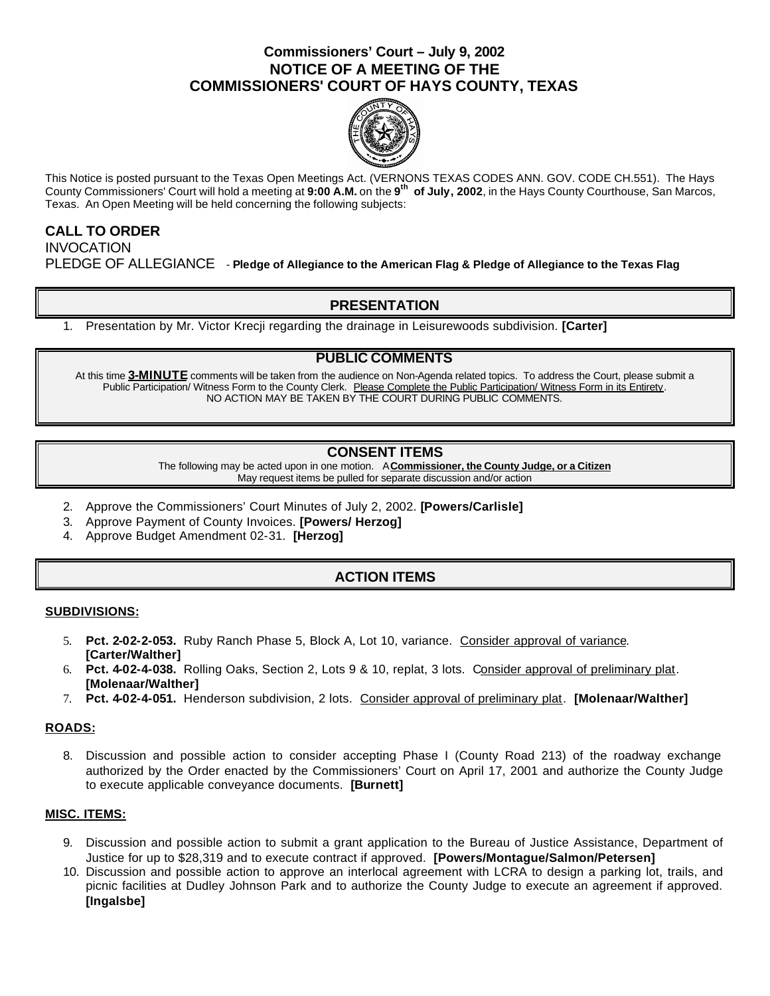## **Commissioners' Court – July 9, 2002 NOTICE OF A MEETING OF THE COMMISSIONERS' COURT OF HAYS COUNTY, TEXAS**



This Notice is posted pursuant to the Texas Open Meetings Act. (VERNONS TEXAS CODES ANN. GOV. CODE CH.551). The Hays County Commissioners' Court will hold a meeting at **9:00 A.M.** on the **9 th of July, 2002**, in the Hays County Courthouse, San Marcos, Texas. An Open Meeting will be held concerning the following subjects:

# **CALL TO ORDER INVOCATION** PLEDGE OF ALLEGIANCE - **Pledge of Allegiance to the American Flag & Pledge of Allegiance to the Texas Flag**

# **PRESENTATION**

1. Presentation by Mr. Victor Krecji regarding the drainage in Leisurewoods subdivision. **[Carter]**

### **PUBLIC COMMENTS**

At this time **3-MINUTE** comments will be taken from the audience on Non-Agenda related topics. To address the Court, please submit a Public Participation/ Witness Form to the County Clerk. Please Complete the Public Participation/ Witness Form in its Entirety. NO ACTION MAY BE TAKEN BY THE COURT DURING PUBLIC COMMENTS.

### **CONSENT ITEMS**

The following may be acted upon in one motion. A **Commissioner, the County Judge, or a Citizen** May request items be pulled for separate discussion and/or action

- 2. Approve the Commissioners' Court Minutes of July 2, 2002. **[Powers/Carlisle]**
- 3. Approve Payment of County Invoices. **[Powers/ Herzog]**
- 4. Approve Budget Amendment 02-31. **[Herzog]**

## **ACTION ITEMS**

#### **SUBDIVISIONS:**

- 5. **Pct. 2-02-2-053.** Ruby Ranch Phase 5, Block A, Lot 10, variance. Consider approval of variance. **[Carter/Walther]**
- 6. **Pct. 4-02-4-038.** Rolling Oaks, Section 2, Lots 9 & 10, replat, 3 lots. Consider approval of preliminary plat. **[Molenaar/Walther]**
- 7. **Pct. 4-02-4-051.** Henderson subdivision, 2 lots. Consider approval of preliminary plat. **[Molenaar/Walther]**

#### **ROADS:**

8. Discussion and possible action to consider accepting Phase I (County Road 213) of the roadway exchange authorized by the Order enacted by the Commissioners' Court on April 17, 2001 and authorize the County Judge to execute applicable conveyance documents. **[Burnett]**

#### **MISC. ITEMS:**

- 9. Discussion and possible action to submit a grant application to the Bureau of Justice Assistance, Department of Justice for up to \$28,319 and to execute contract if approved. **[Powers/Montague/Salmon/Petersen]**
- 10. Discussion and possible action to approve an interlocal agreement with LCRA to design a parking lot, trails, and picnic facilities at Dudley Johnson Park and to authorize the County Judge to execute an agreement if approved. **[Ingalsbe]**